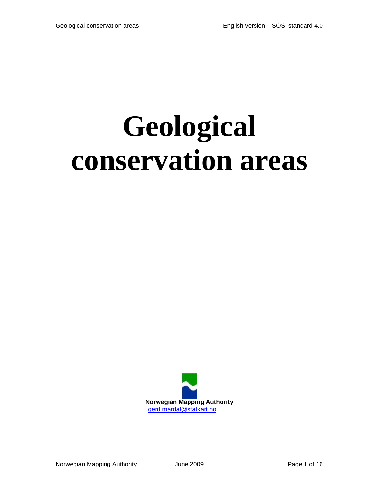# **Geological conservation areas**

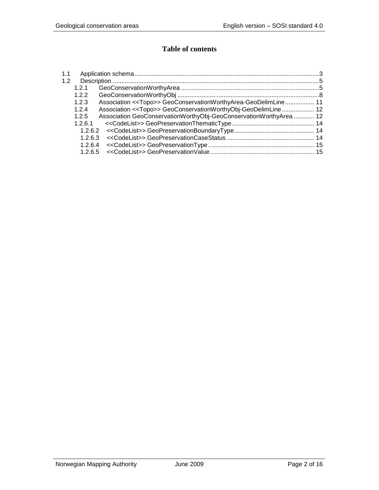# **Table of contents**

| 1.1 |         |                                                                           |  |
|-----|---------|---------------------------------------------------------------------------|--|
| 1.2 |         |                                                                           |  |
|     | 1.2.1   |                                                                           |  |
|     | 1.2.2   |                                                                           |  |
|     | 1.2.3   | Association < <topo>&gt; GeoConservationWorthyArea-GeoDelimLine 11</topo> |  |
|     | 1.2.4   | Association < <topo>&gt; GeoConservationWorthyObj-GeoDelimLine 12</topo>  |  |
|     | 1.2.5   | Association GeoConservationWorthyObj-GeoConservationWorthyArea  12        |  |
|     | 1.2.6.1 |                                                                           |  |
|     |         |                                                                           |  |
|     | 1263    |                                                                           |  |
|     | 1.2.6.4 |                                                                           |  |
|     | 1265    |                                                                           |  |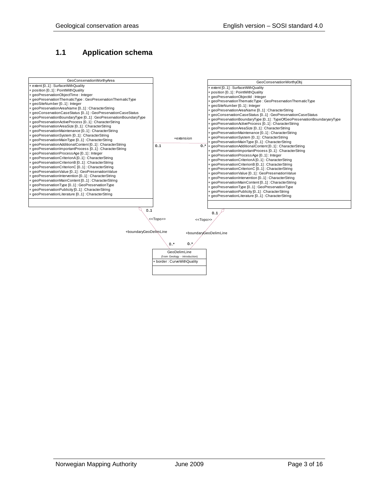# <span id="page-2-0"></span>**1.1 Application schema**

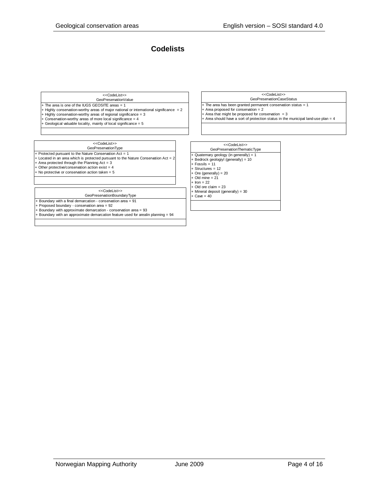## **Codelists**

#### GeoPreservationValue <<CodeList>>

- + The area is one of the IUGS GEOSITE areas = 1
- $+$  Highly conservation-worthy areas of major national or international significance  $= 2$
- + Highly conservation-worthy areas of regional significance = 3
- $+$  Conservation-worthy areas of more local significance =  $4$
- + Geological valuable locality, mainly of local significance = 5

## <<CodeList>>

- GeoPreservationType  $+$  Protected pursuant to the Nature Conservation Act = 1
- Located in an area which is protected pursuant to the Nature Conservation Act =
- Area protected through the Planning  $Act = 3$
- Other protective/conservation action exist  $= 4$
- + No protective or conservation action taken = 5

#### <<CodeList>>

GeoPreservationBoundaryType

- + Boundary with a final demarcation conservation area = 91
- Proposed boundary conservation area = 92

+ Boundary with approximate demarcation - conservation area = 93

+ Boundary with an approximate demarcation feature used for arealin planning = 94

### GeoPreservationCaseStatus <<CodeList>>

- $-$  The area has been granted permanent conservation status  $= 1$ + Area proposed for conservation = 2
- + Area that might be proposed for conservation = 3 + Area should have a sort of protection status in the municipal land-use plan = 4
- GeoPreservationThematicType + Quaternary geology (in generally) = 1 + Bedrock geologiyl (generally) = 10 + Fossils = 11 + Structures = 12  $\cdot$  Ore (generally) = 20  $+$  Old mine =  $21$  $+$  Iron = 22 + Old ore claim = 23 + Mineral deposit (generally) = 30  $Cave = 40$ <<CodeList>>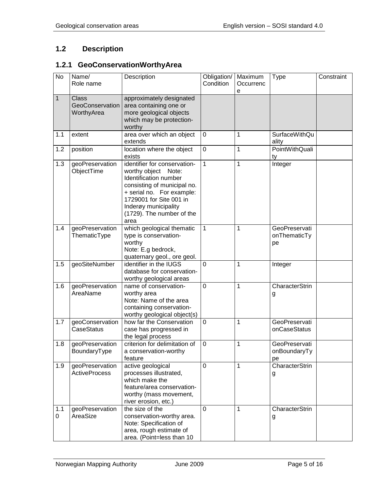# <span id="page-4-0"></span>**1.2 Description**

# <span id="page-4-1"></span>**1.2.1 GeoConservationWorthyArea**

| <b>No</b>          | Name/<br>Role name                            | Description                                                                                                                                                                                                                         | Obligation/<br>Condition | Maximum<br>Occurrenc<br>e | Type                                | Constraint |
|--------------------|-----------------------------------------------|-------------------------------------------------------------------------------------------------------------------------------------------------------------------------------------------------------------------------------------|--------------------------|---------------------------|-------------------------------------|------------|
| $\mathbf{1}$       | <b>Class</b><br>GeoConservation<br>WorthyArea | approximately designated<br>area containing one or<br>more geological objects<br>which may be protection-<br>worthy                                                                                                                 |                          |                           |                                     |            |
| 1.1                | extent                                        | area over which an object<br>extends                                                                                                                                                                                                | $\mathbf 0$              | 1                         | SurfaceWithQu<br>ality              |            |
| 1.2                | position                                      | location where the object<br>exists                                                                                                                                                                                                 | $\mathbf 0$              | 1                         | <b>PointWithQuali</b><br>ty         |            |
| 1.3                | geoPreservation<br>ObjectTime                 | identifier for conservation-<br>worthy object<br>Note:<br>Identification number<br>consisting of municipal no.<br>+ serial no. For example:<br>1729001 for Site 001 in<br>Inderøy municipality<br>(1729). The number of the<br>area | 1                        | 1                         | Integer                             |            |
| 1.4                | geoPreservation<br>ThematicType               | which geological thematic<br>type is conservation-<br>worthy<br>Note: E.g bedrock,<br>quaternary geol., ore geol.                                                                                                                   | 1                        | 1                         | GeoPreservati<br>onThematicTy<br>pe |            |
| 1.5                | geoSiteNumber                                 | identifier in the IUGS<br>database for conservation-<br>worthy geological areas                                                                                                                                                     | $\mathbf 0$              | 1                         | Integer                             |            |
| 1.6                | geoPreservation<br>AreaName                   | name of conservation-<br>worthy area<br>Note: Name of the area<br>containing conservation-<br>worthy geological object(s)                                                                                                           | $\mathbf 0$              | 1                         | CharacterStrin<br>g                 |            |
| 1.7                | geoConservation<br>CaseStatus                 | how far the Conservation<br>case has progressed in<br>the legal process                                                                                                                                                             | 0                        | 1                         | GeoPreservati<br>onCaseStatus       |            |
| 1.8                | geoPreservation<br>BoundaryType               | criterion for delimitation of<br>a conservation-worthy<br>feature                                                                                                                                                                   | $\mathbf 0$              | 1                         | GeoPreservati<br>onBoundaryTy<br>pe |            |
| 1.9                | geoPreservation<br><b>ActiveProcess</b>       | active geological<br>processes illustrated,<br>which make the<br>feature/area conservation-<br>worthy (mass movement,<br>river erosion, etc.)                                                                                       | 0                        | 1                         | CharacterStrin<br>g                 |            |
| 1.1<br>$\mathbf 0$ | geoPreservation<br>AreaSize                   | the size of the<br>conservation-worthy area.<br>Note: Specification of<br>area, rough estimate of<br>area. (Point=less than 10                                                                                                      | 0                        | 1                         | CharacterStrin<br>g                 |            |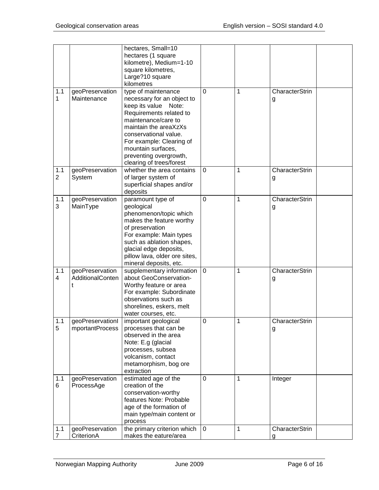|                       |                                     | hectares, Small=10<br>hectares (1 square<br>kilometre), Medium=1-10<br>square kilometres,<br>Large?10 square<br>kilometres                                                                                                                                                            |                |              |                            |  |
|-----------------------|-------------------------------------|---------------------------------------------------------------------------------------------------------------------------------------------------------------------------------------------------------------------------------------------------------------------------------------|----------------|--------------|----------------------------|--|
| 1.1<br>1              | geoPreservation<br>Maintenance      | type of maintenance<br>necessary for an object to<br>keep its value Note:<br>Requirements related to<br>maintenance/care to<br>maintain the areaXzXs<br>conservational value.<br>For example: Clearing of<br>mountain surfaces,<br>preventing overgrowth,<br>clearing of trees/forest | $\overline{0}$ | 1            | CharacterStrin<br>g        |  |
| 1.1<br>$\overline{2}$ | geoPreservation<br>System           | whether the area contains<br>of larger system of<br>superficial shapes and/or<br>deposits                                                                                                                                                                                             | $\mathbf 0$    | 1            | CharacterStrin<br>g        |  |
| 1.1<br>3              | geoPreservation<br>MainType         | paramount type of<br>geological<br>phenomenon/topic which<br>makes the feature worthy<br>of preservation<br>For example: Main types<br>such as ablation shapes,<br>glacial edge deposits,<br>pillow lava, older ore sites,<br>mineral deposits, etc.                                  | $\mathbf 0$    | 1            | CharacterStrin<br>g        |  |
| 1.1<br>4              | geoPreservation<br>AdditionalConten | supplementary information<br>about GeoConservation-<br>Worthy feature or area<br>For example: Subordinate<br>observations such as<br>shorelines, eskers, melt<br>water courses, etc.                                                                                                  | 0              | 1            | <b>CharacterStrin</b><br>g |  |
| 1.1<br>5              | geoPreservationI<br>mportantProcess | important geological<br>processes that can be<br>observed in the area<br>Note: E.g (glacial<br>processes, subsea<br>volcanism, contact<br>metamorphism, bog ore<br>extraction                                                                                                         | $\pmb{0}$      | Τ            | CharacterStrin<br>g        |  |
| 1.1<br>6              | geoPreservation<br>ProcessAge       | estimated age of the<br>creation of the<br>conservation-worthy<br>features Note: Probable<br>age of the formation of<br>main type/main content or<br>process                                                                                                                          | $\mathbf 0$    | 1            | Integer                    |  |
| 1.1<br>$\overline{7}$ | geoPreservation<br>CriterionA       | the primary criterion which<br>makes the eature/area                                                                                                                                                                                                                                  | $\mathbf 0$    | $\mathbf{1}$ | CharacterStrin<br>a        |  |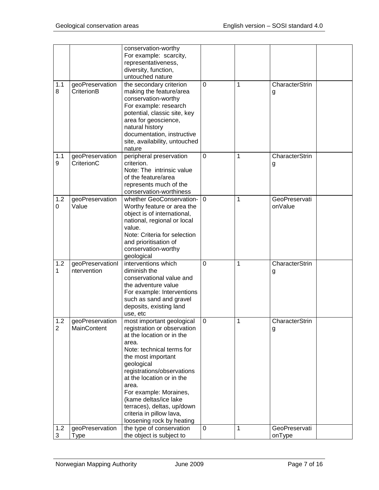|                       |                                       | conservation-worthy<br>For example: scarcity,<br>representativeness,<br>diversity, function,<br>untouched nature                                                                                                                                                                                                                                                              |                |   |                          |  |
|-----------------------|---------------------------------------|-------------------------------------------------------------------------------------------------------------------------------------------------------------------------------------------------------------------------------------------------------------------------------------------------------------------------------------------------------------------------------|----------------|---|--------------------------|--|
| 1.1<br>8              | geoPreservation<br>CriterionB         | the secondary criterion<br>making the feature/area<br>conservation-worthy<br>For example: research<br>potential, classic site, key<br>area for geoscience,<br>natural history<br>documentation, instructive<br>site, availability, untouched<br>nature                                                                                                                        | $\Omega$       | 1 | CharacterStrin<br>g      |  |
| 1.1<br>9              | geoPreservation<br>CriterionC         | peripheral preservation<br>criterion.<br>Note: The intrinsic value<br>of the feature/area<br>represents much of the<br>conservation-worthiness                                                                                                                                                                                                                                | 0              | 1 | CharacterStrin<br>g      |  |
| 1.2<br>0              | geoPreservation<br>Value              | whether GeoConservation-<br>Worthy feature or area the<br>object is of international,<br>national, regional or local<br>value.<br>Note: Criteria for selection<br>and prioritisation of<br>conservation-worthy<br>geological                                                                                                                                                  | $\Omega$       | 1 | GeoPreservati<br>onValue |  |
| 1.2<br>1              | geoPreservationI<br>ntervention       | interventions which<br>diminish the<br>conservational value and<br>the adventure value<br>For example: Interventions<br>such as sand and gravel<br>deposits, existing land<br>use, etc                                                                                                                                                                                        | $\mathbf 0$    | 1 | CharacterStrin<br>g      |  |
| 1.2<br>$\overline{2}$ | geoPreservation<br><b>MainContent</b> | most important geological<br>registration or observation<br>at the location or in the<br>area.<br>Note: technical terms for<br>the most important<br>geological<br>registrations/observations<br>at the location or in the<br>area.<br>For example: Moraines,<br>(kame deltas/ice lake<br>terraces), deltas, up/down<br>criteria in pillow lava,<br>loosening rock by heating | $\overline{0}$ | 1 | CharacterStrin<br>g      |  |
| 1.2<br>3              | geoPreservation<br><b>Type</b>        | the type of conservation<br>the object is subject to                                                                                                                                                                                                                                                                                                                          | $\mathbf 0$    | 1 | GeoPreservati<br>onType  |  |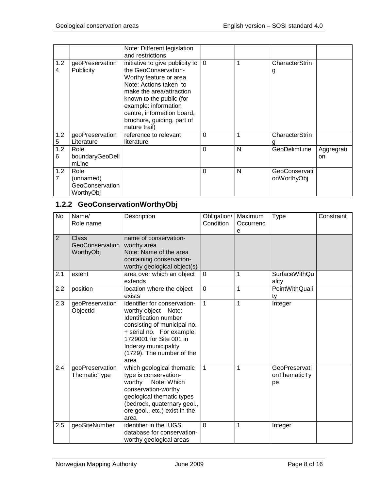|          |                                                   | Note: Different legislation<br>and restrictions                                                                                                                                                                                                                          |                |   |                              |                   |
|----------|---------------------------------------------------|--------------------------------------------------------------------------------------------------------------------------------------------------------------------------------------------------------------------------------------------------------------------------|----------------|---|------------------------------|-------------------|
| 1.2<br>4 | geoPreservation<br><b>Publicity</b>               | initiative to give publicity to<br>the GeoConservation-<br>Worthy feature or area<br>Note: Actions taken to<br>make the area/attraction<br>known to the public (for<br>example: information<br>centre, information board,<br>brochure, guiding, part of<br>nature trail) | $\overline{0}$ | 1 | CharacterStrin<br>g          |                   |
| 1.2<br>5 | geoPreservation<br>Literature                     | reference to relevant<br>literature                                                                                                                                                                                                                                      | $\Omega$       | 1 | <b>CharacterStrin</b><br>g   |                   |
| 1.2<br>6 | Role<br>boundaryGeoDeli<br>mLine                  |                                                                                                                                                                                                                                                                          | $\Omega$       | N | GeoDelimLine                 | Aggregrati<br>on. |
| 1.2<br>7 | Role<br>(unnamed)<br>GeoConservation<br>WorthyObj |                                                                                                                                                                                                                                                                          | $\Omega$       | N | GeoConservati<br>onWorthyObj |                   |

# <span id="page-7-0"></span>**1.2.2 GeoConservationWorthyObj**

| <b>No</b>      | Name/<br>Role name                    | Description                                                                                                                                                                                                                      | Obligation/<br>Condition | Maximum<br>Occurrenc<br>e | <b>Type</b>                         | Constraint |
|----------------|---------------------------------------|----------------------------------------------------------------------------------------------------------------------------------------------------------------------------------------------------------------------------------|--------------------------|---------------------------|-------------------------------------|------------|
| $\overline{2}$ | Class<br>GeoConservation<br>WorthyObj | name of conservation-<br>worthy area<br>Note: Name of the area<br>containing conservation-<br>worthy geological object(s)                                                                                                        |                          |                           |                                     |            |
| 2.1            | extent                                | area over which an object<br>extends                                                                                                                                                                                             | $\mathbf 0$              | 1                         | <b>SurfaceWithQu</b><br>ality       |            |
| 2.2            | position                              | location where the object<br>exists                                                                                                                                                                                              | $\mathbf 0$              | 1                         | PointWithQuali<br>ty                |            |
| 2.3            | geoPreservation<br>ObjectId           | identifier for conservation-<br>worthy object Note:<br>Identification number<br>consisting of municipal no.<br>+ serial no. For example:<br>1729001 for Site 001 in<br>Inderøy municipality<br>(1729). The number of the<br>area | $\mathbf{1}$             | $\mathbf{1}$              | Integer                             |            |
| 2.4            | geoPreservation<br>ThematicType       | which geological thematic<br>type is conservation-<br>worthy Note: Which<br>conservation-worthy<br>geological thematic types<br>(bedrock, quaternary geol.,<br>ore geol., etc.) exist in the<br>area                             | 1                        | 1                         | GeoPreservati<br>onThematicTy<br>pe |            |
| 2.5            | geoSiteNumber                         | identifier in the IUGS<br>database for conservation-<br>worthy geological areas                                                                                                                                                  | $\Omega$                 | 1                         | Integer                             |            |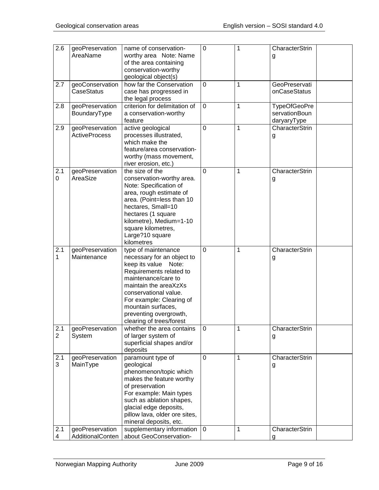| 2.6                   | geoPreservation<br>AreaName                    | name of conservation-<br>worthy area Note: Name<br>of the area containing<br>conservation-worthy<br>geological object(s)                                                                                                                                                              | $\mathbf 0$      | 1      | CharacterStrin<br>g                          |
|-----------------------|------------------------------------------------|---------------------------------------------------------------------------------------------------------------------------------------------------------------------------------------------------------------------------------------------------------------------------------------|------------------|--------|----------------------------------------------|
| 2.7                   | geoConservation<br><b>CaseStatus</b>           | how far the Conservation<br>case has progressed in<br>the legal process                                                                                                                                                                                                               | 0                | 1      | GeoPreservati<br>onCaseStatus                |
| 2.8                   | geoPreservation<br>BoundaryType                | criterion for delimitation of<br>a conservation-worthy<br>feature                                                                                                                                                                                                                     | $\mathbf 0$      | 1      | TypeOfGeoPre<br>servationBoun<br>daryaryType |
| 2.9                   | geoPreservation<br><b>ActiveProcess</b>        | active geological<br>processes illustrated,<br>which make the<br>feature/area conservation-<br>worthy (mass movement,<br>river erosion, etc.)                                                                                                                                         | 0                | 1      | CharacterStrin<br>g                          |
| 2.1<br>$\mathbf 0$    | geoPreservation<br>AreaSize                    | the size of the<br>conservation-worthy area.<br>Note: Specification of<br>area, rough estimate of<br>area. (Point=less than 10<br>hectares, Small=10<br>hectares (1 square<br>kilometre), Medium=1-10<br>square kilometres,<br>Large?10 square<br>kilometres                          | $\mathbf 0$      | 1      | CharacterStrin<br>g                          |
| 2.1<br>1              | geoPreservation<br>Maintenance                 | type of maintenance<br>necessary for an object to<br>keep its value Note:<br>Requirements related to<br>maintenance/care to<br>maintain the areaXzXs<br>conservational value.<br>For example: Clearing of<br>mountain surfaces,<br>preventing overgrowth,<br>clearing of trees/forest | $\overline{0}$   | 1      | CharacterStrin<br>g                          |
| 2.1<br>$\overline{c}$ | geoPreservation<br>System                      | whether the area contains<br>of larger system of<br>superficial shapes and/or<br>deposits                                                                                                                                                                                             | 0                | 1      | CharacterStrin<br>g                          |
| 2.1<br>3<br>2.1       | geoPreservation<br>MainType<br>geoPreservation | paramount type of<br>geological<br>phenomenon/topic which<br>makes the feature worthy<br>of preservation<br>For example: Main types<br>such as ablation shapes,<br>glacial edge deposits,<br>pillow lava, older ore sites,<br>mineral deposits, etc.<br>supplementary information     | $\mathbf 0$<br>0 | 1<br>1 | CharacterStrin<br>g<br>CharacterStrin        |
| 4                     | AdditionalConten                               | about GeoConservation-                                                                                                                                                                                                                                                                |                  |        | g                                            |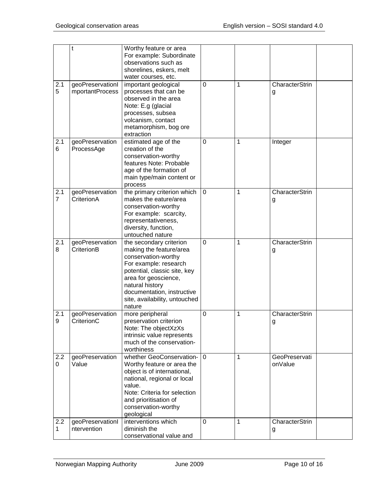|                       | t                                   | Worthy feature or area<br>For example: Subordinate<br>observations such as<br>shorelines, eskers, melt<br>water courses, etc.                                                                                                                          |             |   |                          |  |
|-----------------------|-------------------------------------|--------------------------------------------------------------------------------------------------------------------------------------------------------------------------------------------------------------------------------------------------------|-------------|---|--------------------------|--|
| 2.1<br>5              | geoPreservationI<br>mportantProcess | important geological<br>processes that can be<br>observed in the area<br>Note: E.g (glacial<br>processes, subsea<br>volcanism, contact<br>metamorphism, bog ore<br>extraction                                                                          | 0           | 1 | CharacterStrin<br>g      |  |
| 2.1<br>6              | geoPreservation<br>ProcessAge       | estimated age of the<br>creation of the<br>conservation-worthy<br>features Note: Probable<br>age of the formation of<br>main type/main content or<br>process                                                                                           | $\mathbf 0$ | 1 | Integer                  |  |
| 2.1<br>$\overline{7}$ | geoPreservation<br>CriterionA       | the primary criterion which<br>makes the eature/area<br>conservation-worthy<br>For example: scarcity,<br>representativeness,<br>diversity, function,<br>untouched nature                                                                               | $\mathbf 0$ | 1 | CharacterStrin<br>g      |  |
| 2.1<br>8              | geoPreservation<br>CriterionB       | the secondary criterion<br>making the feature/area<br>conservation-worthy<br>For example: research<br>potential, classic site, key<br>area for geoscience,<br>natural history<br>documentation, instructive<br>site, availability, untouched<br>nature | $\mathbf 0$ | 1 | CharacterStrin<br>g      |  |
| 2.1<br>У              | geoPreservation<br>CriterionC       | more peripheral<br>preservation criterion<br>Note: The objectXzXs<br>intrinsic value represents<br>much of the conservation-<br>worthiness                                                                                                             | 0           | 1 | CharacterStrin<br>g      |  |
| 2.2<br>0              | geoPreservation<br>Value            | whether GeoConservation-<br>Worthy feature or area the<br>object is of international,<br>national, regional or local<br>value.<br>Note: Criteria for selection<br>and prioritisation of<br>conservation-worthy<br>geological                           | $\mathbf 0$ | 1 | GeoPreservati<br>onValue |  |
| 2.2<br>$\mathbf{1}$   | geoPreservationI<br>ntervention     | interventions which<br>diminish the<br>conservational value and                                                                                                                                                                                        | 0           | 1 | CharacterStrin<br>g      |  |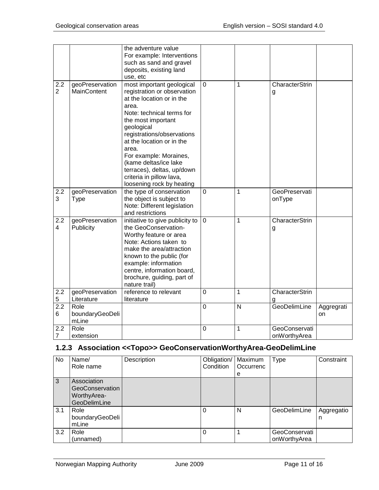|                       |                                       | the adventure value<br>For example: Interventions<br>such as sand and gravel<br>deposits, existing land                                                                                                                                                                                                              |                |             |                               |                  |
|-----------------------|---------------------------------------|----------------------------------------------------------------------------------------------------------------------------------------------------------------------------------------------------------------------------------------------------------------------------------------------------------------------|----------------|-------------|-------------------------------|------------------|
|                       |                                       | use, etc                                                                                                                                                                                                                                                                                                             |                |             |                               |                  |
| 2.2<br>$\overline{2}$ | geoPreservation<br><b>MainContent</b> | most important geological<br>registration or observation<br>at the location or in the<br>area.<br>Note: technical terms for<br>the most important<br>geological<br>registrations/observations<br>at the location or in the<br>area.<br>For example: Moraines,<br>(kame deltas/ice lake<br>terraces), deltas, up/down | 0              | 1           | CharacterStrin<br>g           |                  |
|                       |                                       | criteria in pillow lava,                                                                                                                                                                                                                                                                                             |                |             |                               |                  |
|                       |                                       | loosening rock by heating                                                                                                                                                                                                                                                                                            |                |             |                               |                  |
| 2.2<br>3              | geoPreservation<br>Type               | the type of conservation<br>the object is subject to<br>Note: Different legislation<br>and restrictions                                                                                                                                                                                                              | $\mathbf 0$    | 1           | GeoPreservati<br>onType       |                  |
| 2.2<br>4              | geoPreservation<br>Publicity          | initiative to give publicity to<br>the GeoConservation-<br>Worthy feature or area<br>Note: Actions taken to<br>make the area/attraction<br>known to the public (for<br>example: information<br>centre, information board,<br>brochure, guiding, part of<br>nature trail)                                             | $\overline{0}$ | $\mathbf 1$ | CharacterStrin<br>g           |                  |
| 2.2                   | geoPreservation                       | reference to relevant                                                                                                                                                                                                                                                                                                | 0              | $\mathbf 1$ | <b>CharacterStrin</b>         |                  |
| 5                     | Literature                            | literature                                                                                                                                                                                                                                                                                                           |                |             | g                             |                  |
| 2.2<br>6              | Role<br>boundaryGeoDeli<br>mLine      |                                                                                                                                                                                                                                                                                                                      | $\mathbf 0$    | N           | GeoDelimLine                  | Aggregrati<br>on |
| 2.2<br>7              | Role<br>extension                     |                                                                                                                                                                                                                                                                                                                      | 0              | 1           | GeoConservati<br>onWorthyArea |                  |

# <span id="page-10-0"></span>**1.2.3 Association <<Topo>> GeoConservationWorthyArea-GeoDelimLine**

| <b>No</b> | Name/<br>Role name                                            | Description | Obligation/<br>Condition | Maximum<br>Occurrenc<br>е | Type                          | Constraint      |
|-----------|---------------------------------------------------------------|-------------|--------------------------|---------------------------|-------------------------------|-----------------|
| 3         | Association<br>GeoConservation<br>WorthyArea-<br>GeoDelimLine |             |                          |                           |                               |                 |
| 3.1       | Role<br>boundaryGeoDeli<br>mLine                              |             | 0                        | N                         | GeoDelimLine                  | Aggregatio<br>n |
| 3.2       | Role<br>(unnamed)                                             |             | $\Omega$                 |                           | GeoConservati<br>onWorthyArea |                 |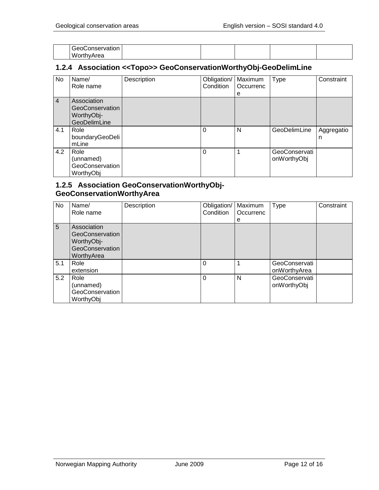| -<br>GeoConservation |  |  |  |
|----------------------|--|--|--|
| WorthyArea           |  |  |  |

# <span id="page-11-0"></span>**1.2.4 Association <<Topo>> GeoConservationWorthyObj-GeoDelimLine**

| No             | Name/<br>Role name                                           | Description | Obligation/<br>Condition | Maximum<br>Occurrenc<br>е | <b>Type</b>                  | Constraint      |
|----------------|--------------------------------------------------------------|-------------|--------------------------|---------------------------|------------------------------|-----------------|
| $\overline{4}$ | Association<br>GeoConservation<br>WorthyObj-<br>GeoDelimLine |             |                          |                           |                              |                 |
| 4.1            | Role<br>boundaryGeoDeli<br>mLine                             |             | 0                        | N                         | GeoDelimLine                 | Aggregatio<br>n |
| 4.2            | Role<br>(unnamed)<br>GeoConservation<br>WorthyObj            |             | $\Omega$                 |                           | GeoConservati<br>onWorthyObj |                 |

# <span id="page-11-1"></span>**1.2.5 Association GeoConservationWorthyObj-GeoConservationWorthyArea**

| No  | Name/<br>Role name                                                            | Description | Obligation/<br>Condition | Maximum<br>Occurrenc<br>е | Type                          | Constraint |
|-----|-------------------------------------------------------------------------------|-------------|--------------------------|---------------------------|-------------------------------|------------|
| 5   | Association<br>GeoConservation<br>WorthyObj-<br>GeoConservation<br>WorthyArea |             |                          |                           |                               |            |
| 5.1 | Role<br>extension                                                             |             | 0                        |                           | GeoConservati<br>onWorthyArea |            |
| 5.2 | Role<br>(unnamed)<br>GeoConservation<br>WorthyObj                             |             | 0                        | N                         | GeoConservati<br>onWorthyObj  |            |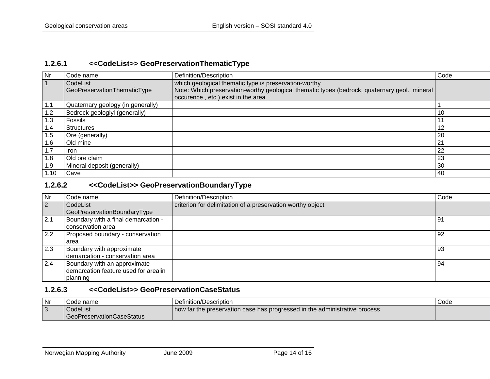# **1.2.6.1 <<CodeList>> GeoPreservationThematicType**

| Nr   | Code name                         | Definition/Description                                                                        | Code |
|------|-----------------------------------|-----------------------------------------------------------------------------------------------|------|
|      | CodeList                          | which geological thematic type is preservation-worthy                                         |      |
|      | GeoPreservationThematicType       | Note: Which preservation-worthy geological thematic types (bedrock, quaternary geol., mineral |      |
|      |                                   | occurence., etc.) exist in the area                                                           |      |
| 1.1  | Quaternary geology (in generally) |                                                                                               |      |
| 1.2  | Bedrock geologiyl (generally)     |                                                                                               | -10  |
| 1.3  | Fossils                           |                                                                                               | 11   |
| 1.4  | <b>Structures</b>                 |                                                                                               | 12   |
| 1.5  | Ore (generally)                   |                                                                                               | 20   |
| 1.6  | Old mine                          |                                                                                               | 21   |
| 1.7  | <b>Iron</b>                       |                                                                                               | 22   |
| 8. ا | Old ore claim                     |                                                                                               | 23   |
| 1.9  | Mineral deposit (generally)       |                                                                                               | 30   |
| 1.10 | Cave                              |                                                                                               | -40  |

## <span id="page-13-0"></span>**1.2.6.2 <<CodeList>> GeoPreservationBoundaryType**

| Nr  | Code name                            | Definition/Description                                     | Code |
|-----|--------------------------------------|------------------------------------------------------------|------|
| 2   | CodeList                             | criterion for delimitation of a preservation worthy object |      |
|     | GeoPreservationBoundaryType          |                                                            |      |
| 2.1 | Boundary with a final demarcation -  |                                                            | -91  |
|     | conservation area                    |                                                            |      |
| 2.2 | Proposed boundary - conservation     |                                                            | 92   |
|     | area                                 |                                                            |      |
| 2.3 | Boundary with approximate            |                                                            | -93  |
|     | demarcation - conservation area      |                                                            |      |
| 2.4 | Boundary with an approximate         |                                                            | -94  |
|     | demarcation feature used for arealin |                                                            |      |
|     | planning                             |                                                            |      |

# <span id="page-13-1"></span>**1.2.6.3 <<CodeList>> GeoPreservationCaseStatus**

<span id="page-13-2"></span>

| l Nr   | Code name                   | Definition/Description                                                       | Code |
|--------|-----------------------------|------------------------------------------------------------------------------|------|
| $\sim$ | CodeList                    | I how far the preservation case has progressed in the administrative process |      |
|        | l GeoPreservationCaseStatus |                                                                              |      |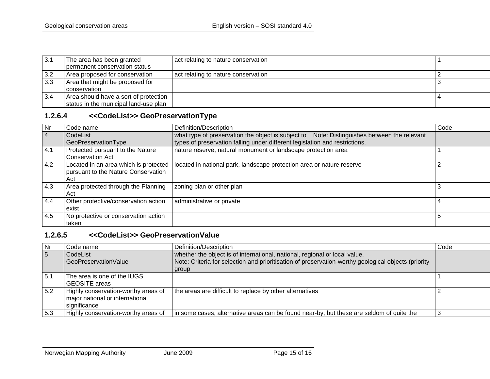| 3.1 | The area has been granted             | act relating to nature conservation |  |
|-----|---------------------------------------|-------------------------------------|--|
|     | permanent conservation status         |                                     |  |
| 3.2 | Area proposed for conservation        | act relating to nature conservation |  |
| 3.3 | Area that might be proposed for       |                                     |  |
|     | conservation                          |                                     |  |
| 3.4 | Area should have a sort of protection |                                     |  |
|     | status in the municipal land-use plan |                                     |  |

# **1.2.6.4 <<CodeList>> GeoPreservationType**

| <b>Nr</b> | Code name                                                                           | Definition/Description                                                                      | Code |
|-----------|-------------------------------------------------------------------------------------|---------------------------------------------------------------------------------------------|------|
| 4         | CodeList                                                                            | what type of preservation the object is subject to Note: Distinguishes between the relevant |      |
|           | GeoPreservationType                                                                 | types of preservation falling under different legislation and restrictions.                 |      |
| 4.1       | Protected pursuant to the Nature<br><b>Conservation Act</b>                         | nature reserve, natural monument or landscape protection area                               |      |
| 4.2       | Located in an area which is protected<br>pursuant to the Nature Conservation<br>Act | located in national park, landscape protection area or nature reserve                       |      |
| 4.3       | Area protected through the Planning<br>Act                                          | zoning plan or other plan                                                                   |      |
| 4.4       | Other protective/conservation action<br>exist                                       | administrative or private                                                                   | 4    |
| 4.5       | No protective or conservation action<br>taken                                       |                                                                                             |      |

# <span id="page-14-0"></span>**1.2.6.5 <<CodeList>> GeoPreservationValue**

<span id="page-14-1"></span>

| <b>Nr</b> | Code name                                                                              | Definition/Description                                                                                                                                                                     | Code |
|-----------|----------------------------------------------------------------------------------------|--------------------------------------------------------------------------------------------------------------------------------------------------------------------------------------------|------|
| 5         | CodeList<br>GeoPreservationValue                                                       | whether the object is of international, national, regional or local value.<br>Note: Criteria for selection and prioritisation of preservation-worthy geological objects (priority<br>group |      |
| 5.1       | The area is one of the IUGS<br><b>GEOSITE</b> areas                                    |                                                                                                                                                                                            |      |
| 5.2       | Highly conservation-worthy areas of<br>major national or international<br>significance | the areas are difficult to replace by other alternatives                                                                                                                                   |      |
| 5.3       | Highly conservation-worthy areas of                                                    | In some cases, alternative areas can be found near-by, but these are seldom of quite the                                                                                                   |      |